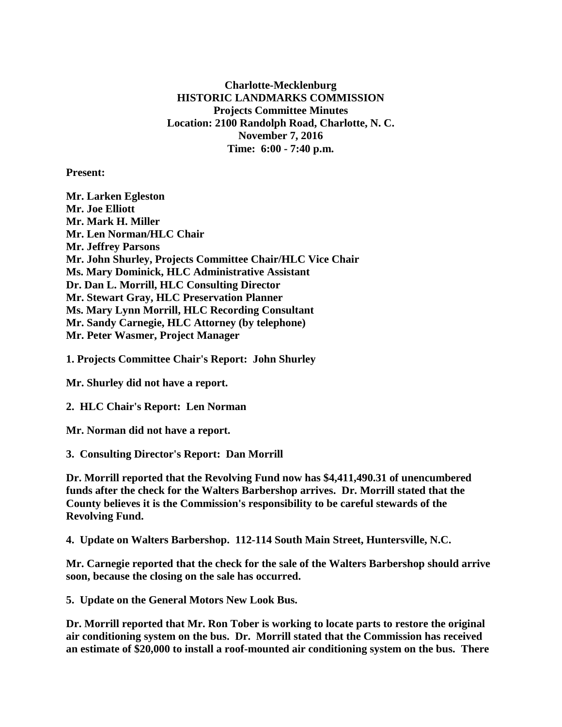**Charlotte-Mecklenburg HISTORIC LANDMARKS COMMISSION Projects Committee Minutes Location: 2100 Randolph Road, Charlotte, N. C. November 7, 2016 Time: 6:00 - 7:40 p.m.**

**Present:**

**Mr. Larken Egleston Mr. Joe Elliott Mr. Mark H. Miller Mr. Len Norman/HLC Chair Mr. Jeffrey Parsons Mr. John Shurley, Projects Committee Chair/HLC Vice Chair Ms. Mary Dominick, HLC Administrative Assistant Dr. Dan L. Morrill, HLC Consulting Director Mr. Stewart Gray, HLC Preservation Planner Ms. Mary Lynn Morrill, HLC Recording Consultant Mr. Sandy Carnegie, HLC Attorney (by telephone) Mr. Peter Wasmer, Project Manager**

**1. Projects Committee Chair's Report: John Shurley**

**Mr. Shurley did not have a report.**

**2. HLC Chair's Report: Len Norman**

**Mr. Norman did not have a report.**

**3. Consulting Director's Report: Dan Morrill**

**Dr. Morrill reported that the Revolving Fund now has \$4,411,490.31 of unencumbered funds after the check for the Walters Barbershop arrives. Dr. Morrill stated that the County believes it is the Commission's responsibility to be careful stewards of the Revolving Fund.**

**4. Update on Walters Barbershop. 112-114 South Main Street, Huntersville, N.C.**

**Mr. Carnegie reported that the check for the sale of the Walters Barbershop should arrive soon, because the closing on the sale has occurred.**

**5. Update on the General Motors New Look Bus.**

**Dr. Morrill reported that Mr. Ron Tober is working to locate parts to restore the original air conditioning system on the bus. Dr. Morrill stated that the Commission has received an estimate of \$20,000 to install a roof-mounted air conditioning system on the bus. There**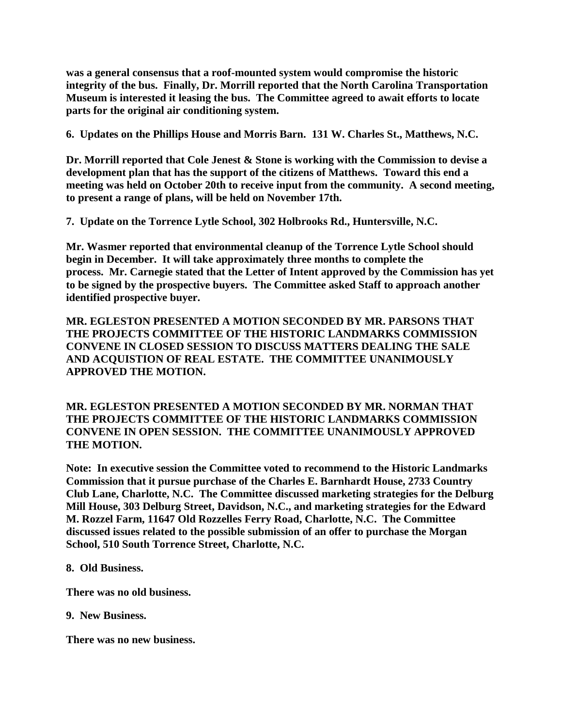**was a general consensus that a roof-mounted system would compromise the historic integrity of the bus. Finally, Dr. Morrill reported that the North Carolina Transportation Museum is interested it leasing the bus. The Committee agreed to await efforts to locate parts for the original air conditioning system.**

**6. Updates on the Phillips House and Morris Barn. 131 W. Charles St., Matthews, N.C.**

**Dr. Morrill reported that Cole Jenest & Stone is working with the Commission to devise a development plan that has the support of the citizens of Matthews. Toward this end a meeting was held on October 20th to receive input from the community. A second meeting, to present a range of plans, will be held on November 17th.** 

**7. Update on the Torrence Lytle School, 302 Holbrooks Rd., Huntersville, N.C.**

**Mr. Wasmer reported that environmental cleanup of the Torrence Lytle School should begin in December. It will take approximately three months to complete the process. Mr. Carnegie stated that the Letter of Intent approved by the Commission has yet to be signed by the prospective buyers. The Committee asked Staff to approach another identified prospective buyer.**

**MR. EGLESTON PRESENTED A MOTION SECONDED BY MR. PARSONS THAT THE PROJECTS COMMITTEE OF THE HISTORIC LANDMARKS COMMISSION CONVENE IN CLOSED SESSION TO DISCUSS MATTERS DEALING THE SALE AND ACQUISTION OF REAL ESTATE. THE COMMITTEE UNANIMOUSLY APPROVED THE MOTION.**

**MR. EGLESTON PRESENTED A MOTION SECONDED BY MR. NORMAN THAT THE PROJECTS COMMITTEE OF THE HISTORIC LANDMARKS COMMISSION CONVENE IN OPEN SESSION. THE COMMITTEE UNANIMOUSLY APPROVED THE MOTION.**

**Note: In executive session the Committee voted to recommend to the Historic Landmarks Commission that it pursue purchase of the Charles E. Barnhardt House, 2733 Country Club Lane, Charlotte, N.C. The Committee discussed marketing strategies for the Delburg Mill House, 303 Delburg Street, Davidson, N.C., and marketing strategies for the Edward M. Rozzel Farm, 11647 Old Rozzelles Ferry Road, Charlotte, N.C. The Committee discussed issues related to the possible submission of an offer to purchase the Morgan School, 510 South Torrence Street, Charlotte, N.C.**

## **8. Old Business.**

**There was no old business.**

**9. New Business.**

**There was no new business.**